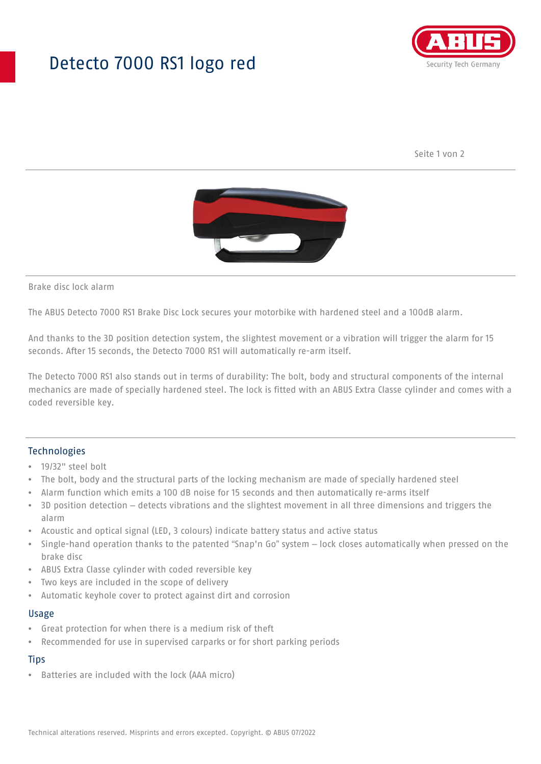## Detecto 7000 RS1 logo red



Seite 1 von 2



Brake disc lock alarm

The ABUS Detecto 7000 RS1 Brake Disc Lock secures your motorbike with hardened steel and a 100dB alarm.

And thanks to the 3D position detection system, the slightest movement or a vibration will trigger the alarm for 15 seconds. After 15 seconds, the Detecto 7000 RS1 will automatically re-arm itself.

The Detecto 7000 RS1 also stands out in terms of durability: The bolt, body and structural components of the internal mechanics are made of specially hardened steel. The lock is fitted with an ABUS Extra Classe cylinder and comes with a coded reversible key.

#### Technologies

- 19/32" steel bolt
- The bolt, body and the structural parts of the locking mechanism are made of specially hardened steel
- Alarm function which emits a 100 dB noise for 15 seconds and then automatically re-arms itself
- 3D position detection detects vibrations and the slightest movement in all three dimensions and triggers the alarm
- Acoustic and optical signal (LED, 3 colours) indicate battery status and active status
- Single-hand operation thanks to the patented "Snap'n Go" system lock closes automatically when pressed on the brake disc
- ABUS Extra Classe cylinder with coded reversible key
- Two keys are included in the scope of delivery
- Automatic keyhole cover to protect against dirt and corrosion

#### Usage

- Great protection for when there is a medium risk of theft
- Recommended for use in supervised carparks or for short parking periods

### **Tips**

• Batteries are included with the lock (AAA micro)